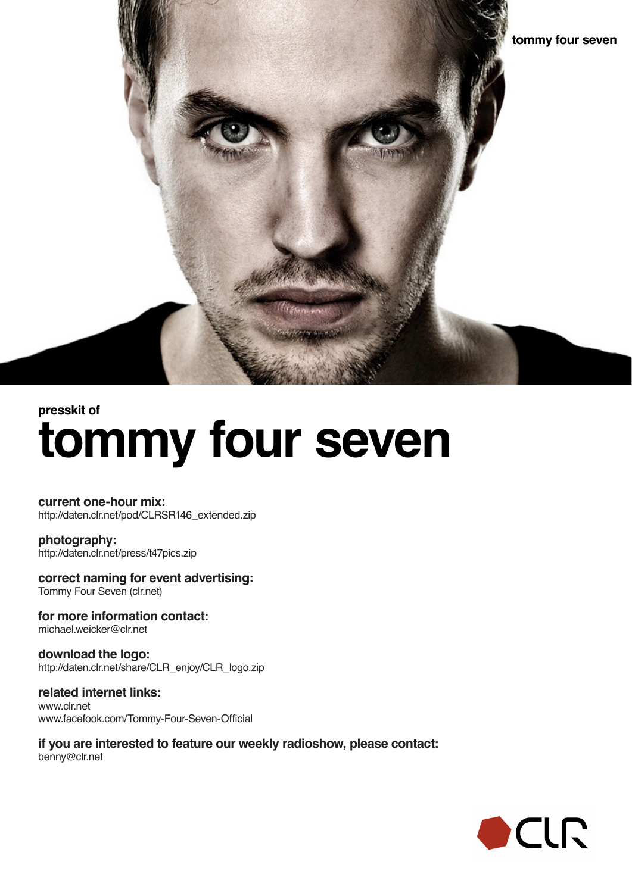

# **tommy four seven presskit of**

**current one-hour mix:** http://daten.clr.net/pod/CLRSR146\_extended.zip

#### **photography:** http://daten.clr.net/press/t47pics.zip

## **correct naming for event advertising:**

Tommy Four Seven (clr.net)

**for more information contact:** michael.weicker@clr.net

#### **download the logo:** http://daten.clr.net/share/CLR\_enjoy/CLR\_logo.zip

**related internet links:** www.clr.net www.facefook.com/Tommy-Four-Seven-Official

**if you are interested to feature our weekly radioshow, please contact:** benny@clr.net